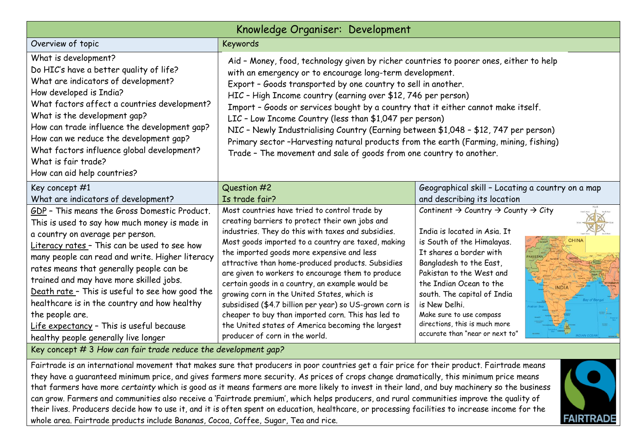| Knowledge Organiser: Development                                                                                                                                                                                                                                                                                                                                                                                                                                                                                                      |                                                                                                                                                                                                                                                                                                                                                                                                                                                                                                                                                                                                                                                                                              |                                                                                                                                                                                                                                                                                                                                                                                                    |  |
|---------------------------------------------------------------------------------------------------------------------------------------------------------------------------------------------------------------------------------------------------------------------------------------------------------------------------------------------------------------------------------------------------------------------------------------------------------------------------------------------------------------------------------------|----------------------------------------------------------------------------------------------------------------------------------------------------------------------------------------------------------------------------------------------------------------------------------------------------------------------------------------------------------------------------------------------------------------------------------------------------------------------------------------------------------------------------------------------------------------------------------------------------------------------------------------------------------------------------------------------|----------------------------------------------------------------------------------------------------------------------------------------------------------------------------------------------------------------------------------------------------------------------------------------------------------------------------------------------------------------------------------------------------|--|
| Overview of topic                                                                                                                                                                                                                                                                                                                                                                                                                                                                                                                     | <b>Keywords</b>                                                                                                                                                                                                                                                                                                                                                                                                                                                                                                                                                                                                                                                                              |                                                                                                                                                                                                                                                                                                                                                                                                    |  |
| What is development?<br>Do HIC's have a better quality of life?<br>What are indicators of development?<br>How developed is India?<br>What factors affect a countries development?<br>What is the development gap?<br>How can trade influence the development gap?<br>How can we reduce the development gap?<br>What factors influence global development?<br>What is fair trade?<br>How can aid help countries?                                                                                                                       | Aid - Money, food, technology given by richer countries to poorer ones, either to help<br>with an emergency or to encourage long-term development.<br>Export - Goods transported by one country to sell in another.<br>HIC - High Income country (earning over \$12, 746 per person)<br>Import - Goods or services bought by a country that it either cannot make itself.<br>LIC - Low Income Country (less than \$1,047 per person)<br>NIC - Newly Industrialising Country (Earning between \$1,048 - \$12, 747 per person)<br>Primary sector -Harvesting natural products from the earth (Farming, mining, fishing)<br>Trade - The movement and sale of goods from one country to another. |                                                                                                                                                                                                                                                                                                                                                                                                    |  |
| Key concept #1<br>What are indicators of development?                                                                                                                                                                                                                                                                                                                                                                                                                                                                                 | Question #2<br>Is trade fair?                                                                                                                                                                                                                                                                                                                                                                                                                                                                                                                                                                                                                                                                | Geographical skill - Locating a country on a map<br>and describing its location                                                                                                                                                                                                                                                                                                                    |  |
| GDP - This means the Gross Domestic Product.<br>This is used to say how much money is made in<br>a country on average per person.<br>Literacy rates - This can be used to see how<br>many people can read and write. Higher literacy<br>rates means that generally people can be<br>trained and may have more skilled jobs.<br>Death rate - This is useful to see how good the<br>healthcare is in the country and how healthy<br>the people are.<br>Life expectancy - This is useful because<br>healthy people generally live longer | Most countries have tried to control trade by<br>creating barriers to protect their own jobs and<br>industries. They do this with taxes and subsidies.<br>Most goods imported to a country are taxed, making<br>the imported goods more expensive and less<br>attractive than home-produced products. Subsidies<br>are given to workers to encourage them to produce<br>certain goods in a country, an example would be<br>growing corn in the United States, which is<br>subsidised (\$4.7 billion per year) so US-grown corn is<br>cheaper to buy than imported corn. This has led to<br>the United states of America becoming the largest<br>producer of corn in the world.               | Continent $\rightarrow$ Country $\rightarrow$ County $\rightarrow$ City<br>India is located in Asia. It<br>is South of the Himalayas.<br>It shares a border with<br>Bangladesh to the East,<br>Pakistan to the West and<br>the Indian Ocean to the<br>south. The capital of India<br>is New Delhi.<br>Make sure to use compass<br>directions, this is much more<br>accurate than "near or next to" |  |

Key concept # 3 *How can fair trade reduce the development gap?*

Fairtrade is an international movement that makes sure that producers in poor countries get a fair price for their product. Fairtrade means they have a guaranteed minimum price, and gives farmers more security. As prices of crops change dramatically, this minimum price means that farmers have more *certainty* which is good as it means farmers are more likely to invest in their land, and buy machinery so the business can grow. Farmers and communities also receive a 'Fairtrade premium', which helps producers, and rural communities improve the quality of their lives. Producers decide how to use it, and it is often spent on education, healthcare, or processing facilities to increase income for the whole area. Fairtrade products include Bananas, Cocoa, Coffee, Sugar, Tea and rice.